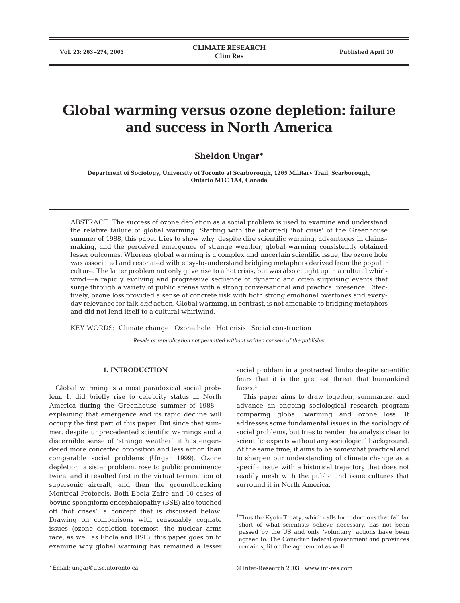# **Global warming versus ozone depletion: failure and success in North America**

# **Sheldon Ungar\***

**Department of Sociology, University of Toronto at Scarborough, 1265 Military Trail, Scarborough, Ontario M1C 1A4, Canada**

ABSTRACT: The success of ozone depletion as a social problem is used to examine and understand the relative failure of global warming. Starting with the (aborted) 'hot crisis' of the Greenhouse summer of 1988, this paper tries to show why, despite dire scientific warning, advantages in claimsmaking, and the perceived emergence of strange weather, global warming consistently obtained lesser outcomes. Whereas global warming is a complex and uncertain scientific issue, the ozone hole was associated and resonated with easy-to-understand bridging metaphors derived from the popular culture. The latter problem not only gave rise to a hot crisis, but was also caught up in a cultural whirlwind—a rapidly evolving and progressive sequence of dynamic and often surprising events that surge through a variety of public arenas with a strong conversational and practical presence. Effectively, ozone loss provided a sense of concrete risk with both strong emotional overtones and everyday relevance for talk *and* action. Global warming, in contrast, is not amenable to bridging metaphors and did not lend itself to a cultural whirlwind.

KEY WORDS: Climate change · Ozone hole · Hot crisis · Social construction

*Resale or republication not permitted without written consent of the publisher*

#### **1. INTRODUCTION**

Global warming is a most paradoxical social problem. It did briefly rise to celebrity status in North America during the Greenhouse summer of 1988 explaining that emergence and its rapid decline will occupy the first part of this paper. But since that summer, despite unprecedented scientific warnings and a discernible sense of 'strange weather', it has engendered more concerted opposition and less action than comparable social problems (Ungar 1999). Ozone depletion, a sister problem, rose to public prominence twice, and it resulted first in the virtual termination of supersonic aircraft, and then the groundbreaking Montreal Protocols. Both Ebola Zaire and 10 cases of bovine spongiform encephalopathy (BSE) also touched off 'hot crises', a concept that is discussed below. Drawing on comparisons with reasonably cognate issues (ozone depletion foremost, the nuclear arms race, as well as Ebola and BSE), this paper goes on to examine why global warming has remained a lesser

social problem in a protracted limbo despite scientific fears that it is the greatest threat that humankind faces.<sup>1</sup>

This paper aims to draw together, summarize, and advance an ongoing sociological research program comparing global warming and ozone loss. It addresses some fundamental issues in the sociology of social problems, but tries to render the analysis clear to scientific experts without any sociological background. At the same time, it aims to be somewhat practical and to sharpen our understanding of climate change as a specific issue with a historical trajectory that does not readily mesh with the public and issue cultures that surround it in North America.

<sup>1</sup>Thus the Kyoto Treaty, which calls for reductions that fall far short of what scientists believe necessary, has not been passed by the US and only 'voluntary' actions have been agreed to. The Canadian federal government and provinces remain split on the agreement as well

<sup>\*</sup>Email: ungar@utsc.utoronto.ca © Inter-Research 2003 · www.int-res.com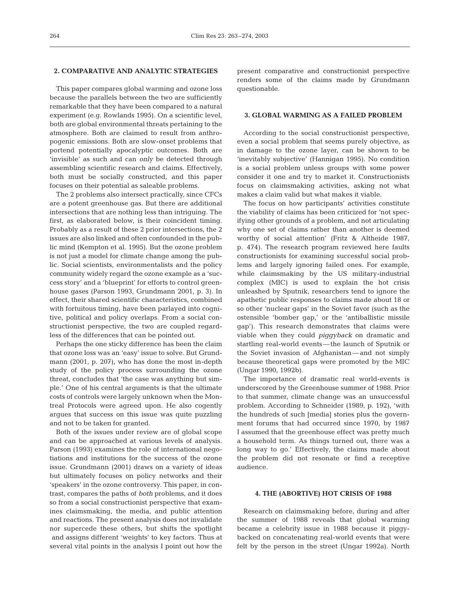#### **2. COMPARATIVE AND ANALYTIC STRATEGIES**

This paper compares global warming and ozone loss because the parallels between the two are sufficiently remarkable that they have been compared to a natural experiment (e.g. Rowlands 1995). On a scientific level, both are global environmental threats pertaining to the atmosphere. Both are claimed to result from anthropogenic emissions. Both are slow-onset problems that portend potentially apocalyptic outcomes. Both are 'invisible' as such and can *only* be detected through assembling scientific research and claims. Effectively, both must be socially constructed, and this paper focuses on their potential as saleable problems.

The 2 problems also intersect practically, since CFCs are a potent greenhouse gas. But there are additional intersections that are nothing less than intriguing. The first, as elaborated below, is their coincident timing. Probably as a result of these 2 prior intersections, the 2 issues are also linked and often confounded in the public mind (Kempton et al. 1995). But the ozone problem is not just a model for climate change among the public. Social scientists, environmentalists and the policy community widely regard the ozone example as a 'success story' and a 'blueprint' for efforts to control greenhouse gases (Parson 1993, Grundmann 2001, p. 3). In effect, their shared scientific characteristics, combined with fortuitous timing, have been parlayed into cognitive, political and policy overlaps. From a social constructionist perspective, the two are coupled regardless of the differences that can be pointed out.

Perhaps the one sticky difference has been the claim that ozone loss was an 'easy' issue to solve. But Grundmann (2001, p. 207), who has done the most in-depth study of the policy process surrounding the ozone threat, concludes that 'the case was anything but simple.' One of his central arguments is that the ultimate costs of controls were largely unknown when the Montreal Protocols were agreed upon. He also cogently argues that success on this issue was quite puzzling and not to be taken for granted.

Both of the issues under review are of global scope and can be approached at various levels of analysis. Parson (1993) examines the role of international negotiations and institutions for the success of the ozone issue. Grundmann (2001) draws on a variety of ideas but ultimately focuses on policy networks and their 'speakers' in the ozone controversy. This paper, in contrast, compares the paths of *both* problems, and it does so from a social constructionist perspective that examines claimsmaking, the media, and public attention and reactions. The present analysis does not invalidate nor supercede these others, but shifts the spotlight and assigns different 'weights' to key factors. Thus at several vital points in the analysis I point out how the present comparative and constructionist perspective renders some of the claims made by Grundmann questionable.

## **3. GLOBAL WARMING AS A FAILED PROBLEM**

According to the social constructionist perspective, even a social problem that seems purely objective, as in damage to the ozone layer, can be shown to be 'inevitably subjective' (Hannigan 1995). No condition is a social problem unless groups with some power consider it one and try to market it. Constructionists focus on claimsmaking activities, asking not what makes a claim valid but what makes it viable.

The focus on how participants' activities constitute the viability of claims has been criticized for 'not specifying other grounds of a problem, and not articulating why one set of claims rather than another is deemed worthy of social attention' (Fritz & Altheide 1987, p. 474). The research program reviewed here faults constructionists for examining successful social problems and largely ignoring failed ones. For example, while claimsmaking by the US military-industrial complex (MIC) is used to explain the hot crisis unleashed by Sputnik, researchers tend to ignore the apathetic public responses to claims made about 18 or so other 'nuclear gaps' in the Soviet favor (such as the ostensible 'bomber gap,' or the 'antiballistic missile gap'). This research demonstrates that claims were viable when they could *piggyback* on dramatic and startling real-world events—the launch of Sputnik or the Soviet invasion of Afghanistan—and not simply because theoretical gaps were promoted by the MIC (Ungar 1990, 1992b).

The importance of dramatic real world-events is underscored by the Greenhouse summer of 1988. Prior to that summer, climate change was an unsuccessful problem. According to Schneider (1989, p. 192), 'with the hundreds of such [media] stories plus the government forums that had occurred since 1970, by 1987 I assumed that the greenhouse effect was pretty much a household term. As things turned out, there was a long way to go.' Effectively, the claims made about the problem did not resonate or find a receptive audience.

### **4. THE (ABORTIVE) HOT CRISIS OF 1988**

Research on claimsmaking before, during and after the summer of 1988 reveals that global warming became a celebrity issue in 1988 because it piggybacked on concatenating real-world events that were felt by the person in the street (Ungar 1992a). North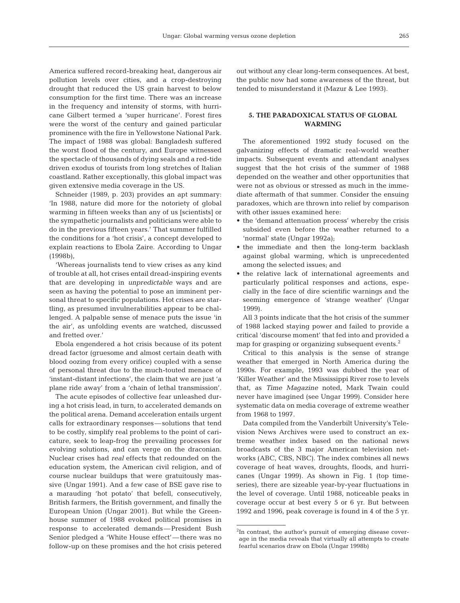America suffered record-breaking heat, dangerous air pollution levels over cities, and a crop-destroying drought that reduced the US grain harvest to below consumption for the first time. There was an increase in the frequency and intensity of storms, with hurricane Gilbert termed a 'super hurricane'. Forest fires were the worst of the century and gained particular prominence with the fire in Yellowstone National Park. The impact of 1988 was global: Bangladesh suffered the worst flood of the century, and Europe witnessed the spectacle of thousands of dying seals and a red-tide driven exodus of tourists from long stretches of Italian coastland. Rather exceptionally, this global impact was given extensive media coverage in the US.

Schneider (1989, p. 203) provides an apt summary: 'In 1988, nature did more for the notoriety of global warming in fifteen weeks than any of us [scientists] or the sympathetic journalists and politicians were able to do in the previous fifteen years.' That summer fulfilled the conditions for a 'hot crisis', a concept developed to explain reactions to Ebola Zaire. According to Ungar (1998b),

'Whereas journalists tend to view crises as any kind of trouble at all, hot crises entail dread-inspiring events that are developing in *unpredictable* ways and are seen as having the potential to pose an imminent personal threat to specific populations. Hot crises are startling, as presumed invulnerabilities appear to be challenged. A palpable sense of menace puts the issue 'in the air', as unfolding events are watched, discussed and fretted over.'

Ebola engendered a hot crisis because of its potent dread factor (gruesome and almost certain death with blood oozing from every orifice) coupled with a sense of personal threat due to the much-touted menace of 'instant-distant infections', the claim that we are just 'a plane ride away' from a 'chain of lethal transmission'.

The acute episodes of collective fear unleashed during a hot crisis lead, in turn, to accelerated demands on the political arena. Demand acceleration entails urgent calls for extraordinary responses—solutions that tend to be costly, simplify real problems to the point of caricature, seek to leap-frog the prevailing processes for evolving solutions, and can verge on the draconian. Nuclear crises had *real* effects that redounded on the education system, the American civil religion, and of course nuclear buildups that were gratuitously massive (Ungar 1991). And a few case of BSE gave rise to a marauding 'hot potato' that befell, consecutively, British farmers, the British government, and finally the European Union (Ungar 2001). But while the Greenhouse summer of 1988 evoked political promises in response to accelerated demands—President Bush Senior pledged a 'White House effect'—there was no follow-up on these promises and the hot crisis petered

out without any clear long-term consequences. At best, the public now had some awareness of the threat, but tended to misunderstand it (Mazur & Lee 1993).

## **5. THE PARADOXICAL STATUS OF GLOBAL WARMING**

The aforementioned 1992 study focused on the galvanizing effects of dramatic real-world weather impacts. Subsequent events and attendant analyses suggest that the hot crisis of the summer of 1988 depended on the weather and other opportunities that were not as obvious or stressed as much in the immediate aftermath of that summer. Consider the ensuing paradoxes, which are thrown into relief by comparison with other issues examined here:

- the 'demand attenuation process' whereby the crisis subsided even before the weather returned to a 'normal' state (Ungar 1992a);
- the immediate and then the long-term backlash against global warming, which is unprecedented among the selected issues; and
- the relative lack of international agreements and particularly political responses and actions, especially in the face of dire scientific warnings and the seeming emergence of 'strange weather' (Ungar 1999).

All 3 points indicate that the hot crisis of the summer of 1988 lacked staying power and failed to provide a critical 'discourse moment' that fed into and provided a map for grasping or organizing subsequent events.<sup>2</sup>

Critical to this analysis is the sense of strange weather that emerged in North America during the 1990s. For example, 1993 was dubbed the year of 'Killer Weather' and the Mississippi River rose to levels that, as *Time Magazine* noted, Mark Twain could never have imagined (see Ungar 1999). Consider here systematic data on media coverage of extreme weather from 1968 to 1997.

Data compiled from the Vanderbilt University's Television News Archives were used to construct an extreme weather index based on the national news broadcasts of the 3 major American television networks (ABC, CBS, NBC). The index combines all news coverage of heat waves, droughts, floods, and hurricanes (Ungar 1999). As shown in Fig. 1 (top timeseries), there are sizeable year-by-year fluctuations in the level of coverage. Until 1988, noticeable peaks in coverage occur at best every 5 or 6 yr. But between 1992 and 1996, peak coverage is found in 4 of the 5 yr.

<sup>&</sup>lt;sup>2</sup>In contrast, the author's pursuit of emerging disease coverage in the media reveals that virtually all attempts to create fearful scenarios draw on Ebola (Ungar 1998b)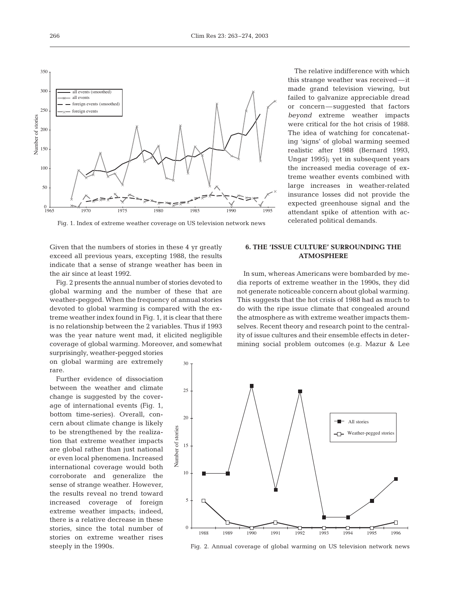

Fig. 1. Index of extreme weather coverage on US television network news

Given that the numbers of stories in these 4 yr greatly exceed all previous years, excepting 1988, the results indicate that a sense of strange weather has been in the air since at least 1992.

Fig. 2 presents the annual number of stories devoted to global warming and the number of these that are weather-pegged. When the frequency of annual stories devoted to global warming is compared with the extreme weather index found in Fig. 1, it is clear that there is no relationship between the 2 variables. Thus if 1993 was the year nature went mad, it elicited negligible coverage of global warming. Moreover, and somewhat surprisingly, weather-pegged stories

on global warming are extremely rare.

Further evidence of dissociation between the weather and climate change is suggested by the coverage of international events (Fig. 1, bottom time-series). Overall, concern about climate change is likely to be strengthened by the realization that extreme weather impacts are global rather than just national or even local phenomena. Increased international coverage would both corroborate and generalize the sense of strange weather. However, the results reveal no trend toward increased coverage of foreign extreme weather impacts; indeed, there is a relative decrease in these stories, since the total number of stories on extreme weather rises steeply in the 1990s.

## **6. THE 'ISSUE CULTURE' SURROUNDING THE ATMOSPHERE**

celerated political demands.

The relative indifference with which this strange weather was received—it made grand television viewing, but failed to galvanize appreciable dread or concern—suggested that factors *beyond* extreme weather impacts were critical for the hot crisis of 1988. The idea of watching for concatenating 'signs' of global warming seemed realistic after 1988 (Bernard 1993, Ungar 1995); yet in subsequent years the increased media coverage of extreme weather events combined with large increases in weather-related insurance losses did not provide the expected greenhouse signal and the attendant spike of attention with ac-

In sum, whereas Americans were bombarded by media reports of extreme weather in the 1990s, they did not generate noticeable concern about global warming. This suggests that the hot crisis of 1988 had as much to do with the ripe issue climate that congealed around the atmosphere as with extreme weather impacts themselves. Recent theory and research point to the centrality of issue cultures and their ensemble effects in determining social problem outcomes (e.g. Mazur & Lee



Fig. 2. Annual coverage of global warming on US television network news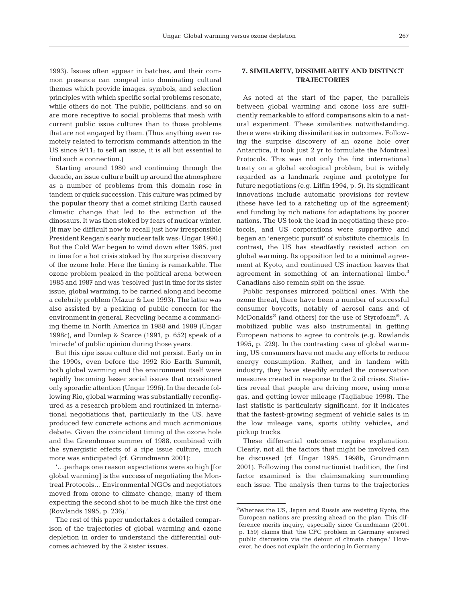1993). Issues often appear in batches, and their common presence can congeal into dominating cultural themes which provide images, symbols, and selection principles with which specific social problems resonate, while others do not. The public, politicians, and so on are more receptive to social problems that mesh with current public issue cultures than to those problems that are not engaged by them. (Thus anything even remotely related to terrorism commands attention in the US since 9/11; to sell an issue, it is all but essential to find such a connection.)

Starting around 1980 and continuing through the decade, an issue culture built up around the atmosphere as a number of problems from this domain rose in tandem or quick succession. This culture was primed by the popular theory that a comet striking Earth caused climatic change that led to the extinction of the dinosaurs. It was then stoked by fears of nuclear winter. (It may be difficult now to recall just how irresponsible President Reagan's early nuclear talk was; Ungar 1990.) But the Cold War began to wind down after 1985, just in time for a hot crisis stoked by the surprise discovery of the ozone hole. Here the timing is remarkable. The ozone problem peaked in the political arena between 1985 and 1987 and was 'resolved' just in time for its sister issue, global warming, to be carried along and become a celebrity problem (Mazur & Lee 1993). The latter was also assisted by a peaking of public concern for the environment in general. Recycling became a commanding theme in North America in 1988 and 1989 (Ungar 1998c), and Dunlap & Scarce (1991, p. 652) speak of a 'miracle' of public opinion during those years.

But this ripe issue culture did not persist. Early on in the 1990s, even before the 1992 Rio Earth Summit, both global warming and the environment itself were rapidly becoming lesser social issues that occasioned only sporadic attention (Ungar 1996). In the decade following Rio, global warming was substantially reconfigured as a research problem and routinized in international negotiations that, particularly in the US, have produced few concrete actions and much acrimonious debate. Given the coincident timing of the ozone hole and the Greenhouse summer of 1988, combined with the synergistic effects of a ripe issue culture, much more was anticipated (cf. Grundmann 2001):

'…perhaps one reason expectations were so high [for global warming] is the success of negotiating the Montreal Protocols… Environmental NGOs and negotiators moved from ozone to climate change, many of them expecting the second shot to be much like the first one (Rowlands 1995, p. 236).'

The rest of this paper undertakes a detailed comparison of the trajectories of global warming and ozone depletion in order to understand the differential outcomes achieved by the 2 sister issues.

## **7. SIMILARITY, DISSIMILARITY AND DISTINCT TRAJECTORIES**

As noted at the start of the paper, the parallels between global warming and ozone loss are sufficiently remarkable to afford comparisons akin to a natural experiment. These similarities notwithstanding, there were striking dissimilarities in outcomes. Following the surprise discovery of an ozone hole over Antarctica, it took just 2 yr to formulate the Montreal Protocols. This was not only the first international treaty on a global ecological problem, but is widely regarded as a landmark regime and prototype for future negotiations (e.g. Litfin 1994, p. 5). Its significant innovations include automatic provisions for review (these have led to a ratcheting up of the agreement) and funding by rich nations for adaptations by poorer nations. The US took the lead in negotiating these protocols, and US corporations were supportive and began an 'energetic pursuit' of substitute chemicals. In contrast, the US has steadfastly resisted action on global warming. Its opposition led to a minimal agreement at Kyoto, and continued US inaction leaves that agreement in something of an international limbo.<sup>3</sup> Canadians also remain split on the issue.

Public responses mirrored political ones. With the ozone threat, there have been a number of successful consumer boycotts, notably of aerosol cans and of McDonalds® (and others) for the use of Styrofoam®. A mobilized public was also instrumental in getting European nations to agree to controls (e.g. Rowlands 1995, p. 229). In the contrasting case of global warming, US consumers have not made *any* efforts to reduce energy consumption. Rather, and in tandem with industry, they have steadily eroded the conservation measures created in response to the 2 oil crises. Statistics reveal that people are driving more, using more gas, and getting lower mileage (Tagliabue 1998). The last statistic is particularly significant, for it indicates that the fastest-growing segment of vehicle sales is in the low mileage vans, sports utility vehicles, and pickup trucks.

These differential outcomes require explanation. Clearly, not all the factors that might be involved can be discussed (cf. Ungar 1995, 1998b, Grundmann 2001). Following the constructionist tradition, the first factor examined is the claimsmaking surrounding each issue. The analysis then turns to the trajectories

<sup>3</sup>Whereas the US, Japan and Russia are resisting Kyoto, the European nations are pressing ahead on the plan. This difference merits inquiry, especially since Grundmann (2001, p. 159) claims that 'the CFC problem in Germany entered public discussion via the detour of climate change.' However, he does not explain the ordering in Germany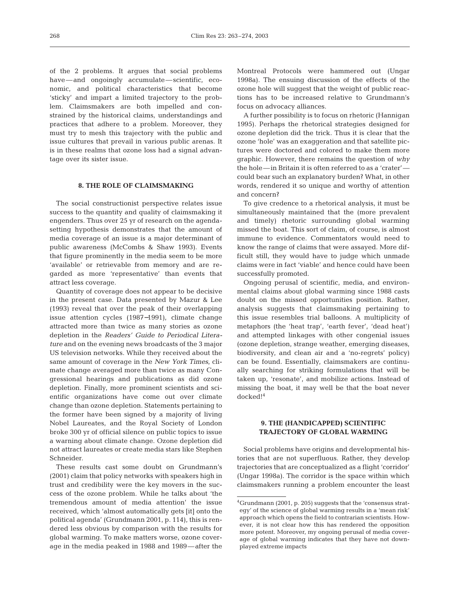of the 2 problems. It argues that social problems have—and ongoingly accumulate—scientific, economic, and political characteristics that become 'sticky' and impart a limited trajectory to the problem. Claimsmakers are both impelled and constrained by the historical claims, understandings and practices that adhere to a problem. Moreover, they must try to mesh this trajectory with the public and issue cultures that prevail in various public arenas. It is in these realms that ozone loss had a signal advantage over its sister issue.

## **8. THE ROLE OF CLAIMSMAKING**

The social constructionist perspective relates issue success to the quantity and quality of claimsmaking it engenders. Thus over 25 yr of research on the agendasetting hypothesis demonstrates that the amount of media coverage of an issue is a major determinant of public awareness (McCombs & Shaw 1993). Events that figure prominently in the media seem to be more 'available' or retrievable from memory and are regarded as more 'representative' than events that attract less coverage.

Quantity of coverage does not appear to be decisive in the present case. Data presented by Mazur & Lee (1993) reveal that over the peak of their overlapping issue attention cycles (1987−1991), climate change attracted more than twice as many stories as ozone depletion in the *Readers' Guide to Periodical Literature* and on the evening news broadcasts of the 3 major US television networks. While they received about the same amount of coverage in the *New York Times*, climate change averaged more than twice as many Congressional hearings and publications as did ozone depletion. Finally, more prominent scientists and scientific organizations have come out over climate change than ozone depletion. Statements pertaining to the former have been signed by a majority of living Nobel Laureates, and the Royal Society of London broke 300 yr of official silence on public topics to issue a warning about climate change. Ozone depletion did not attract laureates or create media stars like Stephen Schneider.

These results cast some doubt on Grundmann's (2001) claim that policy networks with speakers high in trust and credibility were the key movers in the success of the ozone problem. While he talks about 'the tremendous amount of media attention' the issue received, which 'almost automatically gets [it] onto the political agenda' (Grundmann 2001, p. 114), this is rendered less obvious by comparison with the results for global warming. To make matters worse, ozone coverage in the media peaked in 1988 and 1989—after the

Montreal Protocols were hammered out (Ungar 1998a). The ensuing discussion of the effects of the ozone hole will suggest that the weight of public reactions has to be increased relative to Grundmann's focus on advocacy alliances.

A further possibility is to focus on rhetoric (Hannigan 1995). Perhaps the rhetorical strategies designed for ozone depletion did the trick. Thus it is clear that the ozone 'hole' was an exaggeration and that satellite pictures were doctored and colored to make them more graphic. However, there remains the question of *why* the hole—in Britain it is often referred to as a 'crater' could bear such an explanatory burden? What, in other words, rendered it so unique and worthy of attention and concern?

To give credence to a rhetorical analysis, it must be simultaneously maintained that the (more prevalent and timely) rhetoric surrounding global warming missed the boat. This sort of claim, of course, is almost immune to evidence. Commentators would need to know the range of claims that were assayed. More difficult still, they would have to judge which unmade claims were in fact 'viable' and hence could have been successfully promoted.

Ongoing perusal of scientific, media, and environmental claims about global warming since 1988 casts doubt on the missed opportunities position. Rather, analysis suggests that claimsmaking pertaining to this issue resembles trial balloons. A multiplicity of metaphors (the 'heat trap', 'earth fever', 'dead heat') and attempted linkages with other congenial issues (ozone depletion, strange weather, emerging diseases, biodiversity, and clean air and a 'no-regrets' policy) can be found. Essentially, claimsmakers are continually searching for striking formulations that will be taken up, 'resonate', and mobilize actions. Instead of missing the boat, it may well be that the boat never docked!4

## **9. THE (HANDICAPPED) SCIENTIFIC TRAJECTORY OF GLOBAL WARMING**

Social problems have origins and developmental histories that are not superfluous. Rather, they develop trajectories that are conceptualized as a flight 'corridor' (Ungar 1998a). The corridor is the space within which claimsmakers running a problem encounter the least

<sup>4</sup>Grundmann (2001, p. 205) suggests that the 'consensus strategy' of the science of global warming results in a 'mean risk' approach which opens the field to contrarian scientists. However, it is not clear how this has rendered the opposition more potent. Moreover, my ongoing perusal of media coverage of global warming indicates that they have not downplayed extreme impacts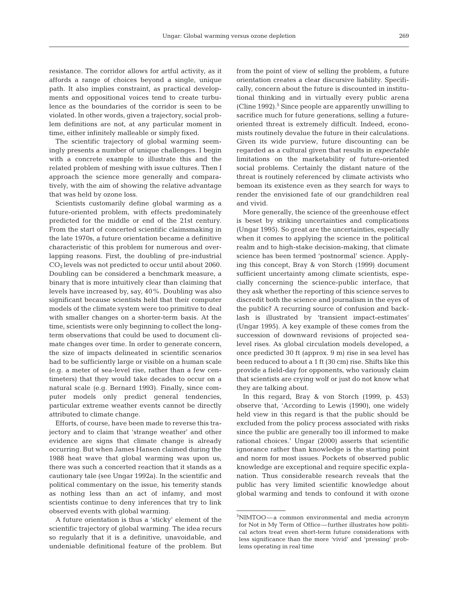resistance. The corridor allows for artful activity, as it affords a range of choices beyond a single, unique path. It also implies constraint, as practical developments and oppositional voices tend to create turbulence as the boundaries of the corridor is seen to be violated. In other words, given a trajectory, social problem definitions are not, at any particular moment in time, either infinitely malleable or simply fixed.

The scientific trajectory of global warming seemingly presents a number of unique challenges. I begin with a concrete example to illustrate this and the related problem of meshing with issue cultures. Then I approach the science more generally and comparatively, with the aim of showing the relative advantage that was held by ozone loss.

Scientists customarily define global warming as a future-oriented problem, with effects predominately predicted for the middle or end of the 21st century. From the start of concerted scientific claimsmaking in the late 1970s, a future orientation became a definitive characteristic of this problem for numerous and overlapping reasons. First, the doubling of pre-industrial  $CO<sub>2</sub>$  levels was not predicted to occur until about 2060. Doubling can be considered a benchmark measure, a binary that is more intuitively clear than claiming that levels have increased by, say, 40%. Doubling was also significant because scientists held that their computer models of the climate system were too primitive to deal with smaller changes on a shorter-term basis. At the time, scientists were only beginning to collect the longterm observations that could be used to document climate changes over time. In order to generate concern, the size of impacts delineated in scientific scenarios had to be sufficiently large or visible on a human scale (e.g. a meter of sea-level rise, rather than a few centimeters) that they would take decades to occur on a natural scale (e.g. Bernard 1993). Finally, since computer models only predict general tendencies, particular extreme weather events cannot be directly attributed to climate change.

Efforts, of course, have been made to reverse this trajectory and to claim that 'strange weather' and other evidence are signs that climate change is already occurring. But when James Hansen claimed during the 1988 heat wave that global warming was upon us, there was such a concerted reaction that it stands as a cautionary tale (see Ungar 1992a). In the scientific and political commentary on the issue, his temerity stands as nothing less than an act of infamy, and most scientists continue to deny inferences that try to link observed events with global warming.

A future orientation is thus a 'sticky' element of the scientific trajectory of global warming. The idea recurs so regularly that it is a definitive, unavoidable, and undeniable definitional feature of the problem. But

from the point of view of selling the problem, a future orientation creates a clear discursive liability. Specifically, concern about the future is discounted in institutional thinking and in virtually every public arena (Cline  $1992$ ).<sup>5</sup> Since people are apparently unwilling to sacrifice much for future generations, selling a futureoriented threat is extremely difficult. Indeed, economists routinely devalue the future in their calculations. Given its wide purview, future discounting can be regarded as a cultural given that results in *expectable* limitations on the marketability of future-oriented social problems. Certainly the distant nature of the threat is routinely referenced by climate activists who bemoan its existence even as they search for ways to render the envisioned fate of our grandchildren real and vivid.

More generally, the science of the greenhouse effect is beset by striking uncertainties and complications (Ungar 1995). So great are the uncertainties, especially when it comes to applying the science in the political realm and to high-stake decision-making, that climate science has been termed 'postnormal' science. Applying this concept, Bray & von Storch (1999) document sufficient uncertainty among climate scientists, especially concerning the science-public interface, that they ask whether the reporting of this science serves to discredit both the science and journalism in the eyes of the public? A recurring source of confusion and backlash is illustrated by 'transient impact-estimates' (Ungar 1995). A key example of these comes from the succession of downward revisions of projected sealevel rises. As global circulation models developed, a once predicted 30 ft (approx. 9 m) rise in sea level has been reduced to about a 1 ft (30 cm) rise. Shifts like this provide a field-day for opponents, who variously claim that scientists are crying wolf or just do not know what they are talking about.

In this regard, Bray & von Storch (1999, p. 453) observe that, 'According to Lewis (1990), one widely held view in this regard is that the public should be excluded from the policy process associated with risks since the public are generally too ill informed to make rational choices.' Ungar (2000) asserts that scientific ignorance rather than knowledge is the starting point and norm for most issues. Pockets of observed public knowledge are exceptional and require specific explanation. Thus considerable research reveals that the public has very limited scientific knowledge about global warming and tends to confound it with ozone

<sup>5</sup>NIMTOO—a common environmental and media acronym for Not in My Term of Office—further illustrates how political actors treat even short-term future considerations with less significance than the more 'vivid' and 'pressing' problems operating in real time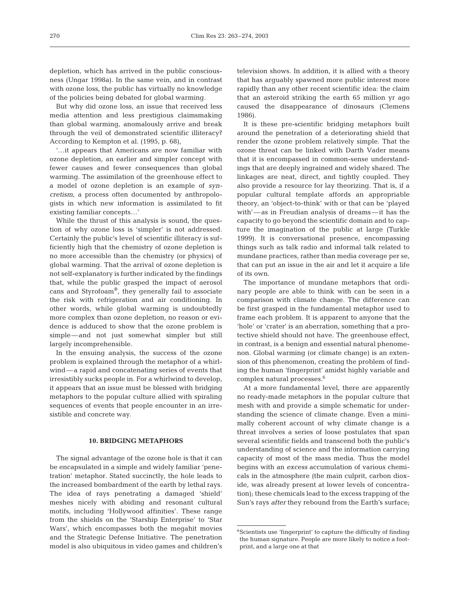depletion, which has arrived in the public consciousness (Ungar 1998a). In the same vein, and in contrast with ozone loss, the public has virtually no knowledge of the policies being debated for global warming.

But why did ozone loss, an issue that received less media attention and less prestigious claimsmaking than global warming, anomalously arrive and break through the veil of demonstrated scientific illiteracy? According to Kempton et al. (1995, p. 68),

'…it appears that Americans are now familiar with ozone depletion, an earlier and simpler concept with fewer causes and fewer consequences than global warming. The assimilation of the greenhouse effect to a model of ozone depletion is an example of *syncretism*, a process often documented by anthropologists in which new information is assimilated to fit existing familiar concepts…'

While the thrust of this analysis is sound, the question of why ozone loss is 'simpler' is not addressed. Certainly the public's level of scientific illiteracy is sufficiently high that the chemistry of ozone depletion is no more accessible than the chemistry (or physics) of global warming. That the arrival of ozone depletion is not self-explanatory is further indicated by the findings that, while the public grasped the impact of aerosol cans and Styrofoam®, they generally fail to associate the risk with refrigeration and air conditioning. In other words, while global warming is undoubtedly more complex than ozone depletion, no reason or evidence is adduced to show that the ozone problem is simple—and not just somewhat simpler but still largely incomprehensible.

In the ensuing analysis, the success of the ozone problem is explained through the metaphor of a whirlwind—a rapid and concatenating series of events that irresistibly sucks people in. For a whirlwind to develop, it appears that an issue must be blessed with bridging metaphors to the popular culture allied with spiraling sequences of events that people encounter in an irresistible and concrete way.

#### **10. BRIDGING METAPHORS**

The signal advantage of the ozone hole is that it can be encapsulated in a simple and widely familiar 'penetration' metaphor. Stated succinctly, the hole leads to the increased bombardment of the earth by lethal rays. The idea of rays penetrating a damaged 'shield' meshes nicely with abiding and resonant cultural motifs, including 'Hollywood affinities'. These range from the shields on the 'Starship Enterprise' to 'Star Wars', which encompasses both the megahit movies and the Strategic Defense Initiative. The penetration model is also ubiquitous in video games and children's television shows. In addition, it is allied with a theory that has arguably spawned more public interest more rapidly than any other recent scientific idea: the claim that an asteroid striking the earth 65 million yr ago caused the disappearance of dinosaurs (Clemens 1986).

It is these pre-scientific bridging metaphors built around the penetration of a deteriorating shield that render the ozone problem relatively simple. That the ozone threat can be linked with Darth Vader means that it is encompassed in common-sense understandings that are deeply ingrained and widely shared. The linkages are neat, direct, and tightly coupled. They also provide a resource for lay theorizing. That is, if a popular cultural template affords an appropriable theory, an 'object-to-think' with or that can be 'played with'—as in Freudian analysis of dreams—it has the capacity to go beyond the scientific domain and to capture the imagination of the public at large (Turkle 1999). It is conversational presence, encompassing things such as talk radio and informal talk related to mundane practices, rather than media coverage per se, that can put an issue in the air and let it acquire a life of its own.

The importance of mundane metaphors that ordinary people are able to think with can be seen in a comparison with climate change. The difference can be first grasped in the fundamental metaphor used to frame each problem. It is apparent to anyone that the 'hole' or 'crater' is an aberration, something that a protective shield should not have. The greenhouse effect, in contrast, is a benign and essential natural phenomenon. Global warming (or climate change) is an extension of this phenomenon, creating the problem of finding the human 'fingerprint' amidst highly variable and complex natural processes.<sup>6</sup>

At a more fundamental level, there are apparently no ready-made metaphors in the popular culture that mesh with and provide a simple schematic for understanding the science of climate change. Even a minimally coherent account of why climate change is a threat involves a series of loose postulates that span several scientific fields and transcend both the public's understanding of science and the information carrying capacity of most of the mass media. Thus the model begins with an *excess* accumulation of various chemicals in the atmosphere (the main culprit, carbon dioxide, was already present at lower levels of concentration); these chemicals lead to the excess trapping of the Sun's rays *after* they rebound from the Earth's surface;

 $6$ Scientists use 'fingerprint' to capture the difficulty of finding the human signature. People are more likely to notice a footprint, and a large one at that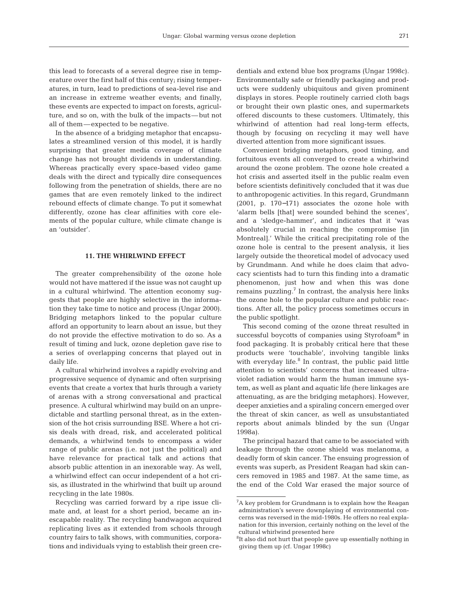this lead to forecasts of a several degree rise in temperature over the first half of this century; rising temperatures, in turn, lead to predictions of sea-level rise and an increase in extreme weather events; and finally, these events are expected to impact on forests, agriculture, and so on, with the bulk of the impacts—but not all of them—expected to be negative.

In the absence of a bridging metaphor that encapsulates a streamlined version of this model, it is hardly surprising that greater media coverage of climate change has not brought dividends in understanding. Whereas practically every space-based video game deals with the direct and typically dire consequences following from the penetration of shields, there are no games that are even remotely linked to the indirect rebound effects of climate change. To put it somewhat differently, ozone has clear affinities with core elements of the popular culture, while climate change is an 'outsider'.

## **11. THE WHIRLWIND EFFECT**

The greater comprehensibility of the ozone hole would not have mattered if the issue was not caught up in a cultural whirlwind. The attention economy suggests that people are highly selective in the information they take time to notice and process (Ungar 2000). Bridging metaphors linked to the popular culture afford an opportunity to learn about an issue, but they do not provide the effective motivation to do so. As a result of timing and luck, ozone depletion gave rise to a series of overlapping concerns that played out in daily life.

A cultural whirlwind involves a rapidly evolving and progressive sequence of dynamic and often surprising events that create a vortex that hurls through a variety of arenas with a strong conversational and practical presence. A cultural whirlwind may build on an unpredictable and startling personal threat, as in the extension of the hot crisis surrounding BSE. Where a hot crisis deals with dread, risk, and accelerated political demands, a whirlwind tends to encompass a wider range of public arenas (i.e. not just the political) and have relevance for practical talk and actions that absorb public attention in an inexorable way. As well, a whirlwind effect can occur independent of a hot crisis, as illustrated in the whirlwind that built up around recycling in the late 1980s.

Recycling was carried forward by a ripe issue climate and, at least for a short period, became an inescapable reality. The recycling bandwagon acquired replicating lives as it extended from schools through country fairs to talk shows, with communities, corporations and individuals vying to establish their green credentials and extend blue box programs (Ungar 1998c). Environmentally safe or friendly packaging and products were suddenly ubiquitous and given prominent displays in stores. People routinely carried cloth bags or brought their own plastic ones, and supermarkets offered discounts to these customers. Ultimately, this whirlwind of attention had real long-term effects, though by focusing on recycling it may well have diverted attention from more significant issues.

Convenient bridging metaphors, good timing, and fortuitous events all converged to create a whirlwind around the ozone problem. The ozone hole created a hot crisis and asserted itself in the public realm even before scientists definitively concluded that it was due to anthropogenic activities. In this regard, Grundmann (2001, p. 170−171) associates the ozone hole with 'alarm bells [that] were sounded behind the scenes', and a 'sledge-hammer', and indicates that it 'was absolutely crucial in reaching the compromise [in Montreal].' While the critical precipitating role of the ozone hole is central to the present analysis, it lies largely outside the theoretical model of advocacy used by Grundmann. And while he does claim that advocacy scientists had to turn this finding into a dramatic phenomenon, just how and when this was done remains puzzling. $\frac{7}{7}$  In contrast, the analysis here links the ozone hole to the popular culture and public reactions. After all, the policy process sometimes occurs in the public spotlight.

This second coming of the ozone threat resulted in successful boycotts of companies using Styrofoam® in food packaging. It is probably critical here that these products were 'touchable', involving tangible links with everyday life. $8$  In contrast, the public paid little attention to scientists' concerns that increased ultraviolet radiation would harm the human immune system, as well as plant and aquatic life (here linkages are attenuating, as are the bridging metaphors). However, deeper anxieties and a spiraling concern emerged over the threat of skin cancer, as well as unsubstantiated reports about animals blinded by the sun (Ungar 1998a).

The principal hazard that came to be associated with leakage through the ozone shield was melanoma, a deadly form of skin cancer. The ensuing progression of events was superb, as President Reagan had skin cancers removed in 1985 and 1987. At the same time, as the end of the Cold War erased the major source of

<sup>&</sup>lt;sup>7</sup>A key problem for Grundmann is to explain how the Reagan administration's severe downplaying of environmental concerns was reversed in the mid-1980s. He offers no real explanation for this inversion, certainly nothing on the level of the cultural whirlwind presented here

 ${}^{8}$ It also did not hurt that people gave up essentially nothing in giving them up (cf. Ungar 1998c)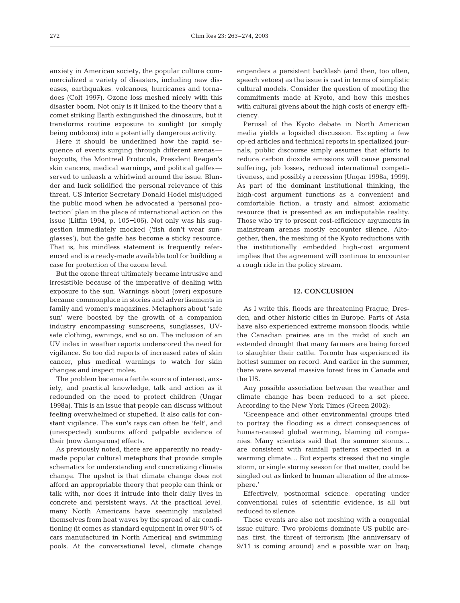anxiety in American society, the popular culture commercialized a variety of disasters, including new diseases, earthquakes, volcanoes, hurricanes and tornadoes (Colt 1997). Ozone loss meshed nicely with this disaster boom. Not only is it linked to the theory that a comet striking Earth extinguished the dinosaurs, but it transforms routine exposure to sunlight (or simply being outdoors) into a potentially dangerous activity.

Here it should be underlined how the rapid sequence of events surging through different arenas boycotts, the Montreal Protocols, President Reagan's skin cancers, medical warnings, and political gaffes served to unleash a whirlwind around the issue. Blunder and luck solidified the personal relevance of this threat. US Interior Secretary Donald Hodel misjudged the public mood when he advocated a 'personal protection' plan in the place of international action on the issue (Litfin 1994, p. 105−106). Not only was his suggestion immediately mocked ('fish don't wear sunglasses'), but the gaffe has become a sticky resource. That is, his mindless statement is frequently referenced and is a ready-made available tool for building a case for protection of the ozone level.

But the ozone threat ultimately became intrusive and irresistible because of the imperative of dealing with exposure to the sun. Warnings about (over) exposure became commonplace in stories and advertisements in family and women's magazines. Metaphors about 'safe sun' were boosted by the growth of a companion industry encompassing sunscreens, sunglasses, UVsafe clothing, awnings, and so on. The inclusion of an UV index in weather reports underscored the need for vigilance. So too did reports of increased rates of skin cancer, plus medical warnings to watch for skin changes and inspect moles.

The problem became a fertile source of interest, anxiety, and practical knowledge, talk and action as it redounded on the need to protect children (Ungar 1998a). This is an issue that people can discuss without feeling overwhelmed or stupefied. It also calls for constant vigilance. The sun's rays can often be 'felt', and (unexpected) sunburns afford palpable evidence of their (now dangerous) effects.

As previously noted, there are apparently no readymade popular cultural metaphors that provide simple schematics for understanding and concretizing climate change. The upshot is that climate change does not afford an appropriable theory that people can think or talk with, nor does it intrude into their daily lives in concrete and persistent ways. At the practical level, many North Americans have seemingly insulated themselves from heat waves by the spread of air conditioning (it comes as standard equipment in over 90% of cars manufactured in North America) and swimming pools. At the conversational level, climate change

engenders a persistent backlash (and then, too often, speech vetoes) as the issue is cast in terms of simplistic cultural models. Consider the question of meeting the commitments made at Kyoto, and how this meshes with cultural givens about the high costs of energy efficiency.

Perusal of the Kyoto debate in North American media yields a lopsided discussion. Excepting a few op-ed articles and technical reports in specialized journals, public discourse simply assumes that efforts to reduce carbon dioxide emissions will cause personal suffering, job losses, reduced international competitiveness, and possibly a recession (Ungar 1998a, 1999). As part of the dominant institutional thinking, the high-cost argument functions as a convenient and comfortable fiction, a trusty and almost axiomatic resource that is presented as an indisputable reality. Those who try to present cost-efficiency arguments in mainstream arenas mostly encounter silence. Altogether, then, the meshing of the Kyoto reductions with the institutionally embedded high-cost argument implies that the agreement will continue to encounter a rough ride in the policy stream.

### **12. CONCLUSION**

As I write this, floods are threatening Prague, Dresden, and other historic cities in Europe. Parts of Asia have also experienced extreme monsoon floods, while the Canadian prairies are in the midst of such an extended drought that many farmers are being forced to slaughter their cattle. Toronto has experienced its hottest summer on record. And earlier in the summer, there were several massive forest fires in Canada and the US.

Any possible association between the weather and climate change has been reduced to a set piece. According to the New York Times (Green 2002):

'Greenpeace and other environmental groups tried to portray the flooding as a direct consequences of human-caused global warming, blaming oil companies. Many scientists said that the summer storms… are consistent with rainfall patterns expected in a warming climate… But experts stressed that no single storm, or single stormy season for that matter, could be singled out as linked to human alteration of the atmosphere.'

Effectively, postnormal science, operating under conventional rules of scientific evidence, is all but reduced to silence.

These events are also not meshing with a congenial issue culture. Two problems dominate US public arenas: first, the threat of terrorism (the anniversary of 9/11 is coming around) and a possible war on Iraq;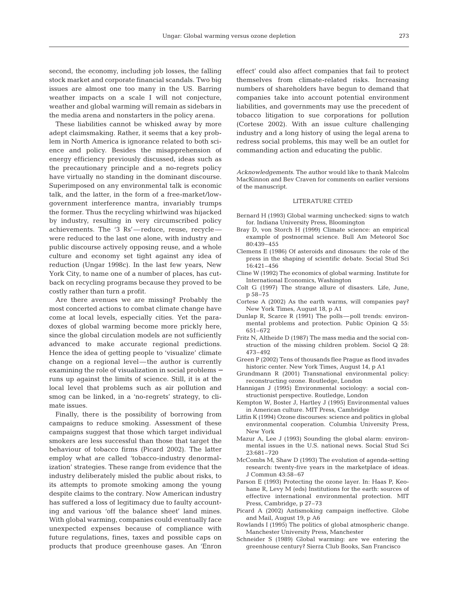second, the economy, including job losses, the falling stock market and corporate financial scandals. Two big issues are almost one too many in the US. Barring weather impacts on a scale I will not conjecture, weather and global warming will remain as sidebars in the media arena and nonstarters in the policy arena.

These liabilities cannot be whisked away by more adept claimsmaking. Rather, it seems that a key problem in North America is ignorance related to both science and policy. Besides the misapprehension of energy efficiency previously discussed, ideas such as the precautionary principle and a no-regrets policy have virtually no standing in the dominant discourse. Superimposed on any environmental talk is economic talk, and the latter, in the form of a free-market/lowgovernment interference mantra, invariably trumps the former. Thus the recycling whirlwind was hijacked by industry, resulting in very circumscribed policy achievements. The '3 Rs'—reduce, reuse, recycle were reduced to the last one alone, with industry and public discourse actively opposing reuse, and a whole culture and economy set tight against any idea of reduction (Ungar 1998c). In the last few years, New York City, to name one of a number of places, has cutback on recycling programs because they proved to be costly rather than turn a profit.

Are there avenues we are missing? Probably the most concerted actions to combat climate change have come at local levels, especially cities. Yet the paradoxes of global warming become more prickly here, since the global circulation models are not sufficiently advanced to make accurate regional predictions. Hence the idea of getting people to 'visualize' climate change on a regional level—the author is currently examining the role of visualization in social problems − runs up against the limits of science. Still, it is at the local level that problems such as air pollution and smog can be linked, in a 'no-regrets' strategy, to climate issues.

Finally, there is the possibility of borrowing from campaigns to reduce smoking. Assessment of these campaigns suggest that those which target individual smokers are less successful than those that target the behaviour of tobacco firms (Picard 2002). The latter employ what are called 'tobacco-industry denormalization' strategies. These range from evidence that the industry deliberately misled the public about risks, to its attempts to promote smoking among the young despite claims to the contrary. Now American industry has suffered a loss of legitimacy due to faulty accounting and various 'off the balance sheet' land mines. With global warming, companies could eventually face unexpected expenses because of compliance with future regulations, fines, taxes and possible caps on products that produce greenhouse gases. An 'Enron

effect' could also affect companies that fail to protect themselves from climate-related risks. Increasing numbers of shareholders have begun to demand that companies take into account potential environment liabilities, and governments may use the precedent of tobacco litigation to sue corporations for pollution (Cortese 2002). With an issue culture challenging industry and a long history of using the legal arena to redress social problems, this may well be an outlet for commanding action and educating the public.

*Acknowledgements.* The author would like to thank Malcolm MacKinnon and Bev Craven for comments on earlier versions of the manuscript.

#### LITERATURE CITED

- Bernard H (1993) Global warming unchecked: signs to watch for. Indiana University Press, Bloomington
- Bray D, von Storch H (1999) Climate science: an empirical example of postnormal science. Bull Am Meteorol Soc 80:439–455
- Clemens E (1986) Of asteroids and dinosaurs: the role of the press in the shaping of scientific debate. Social Stud Sci 16:421–456
- Cline W (1992) The economics of global warming. Institute for International Economics, Washington
- Colt G (1997) The strange allure of disasters. Life, June, p 58–75
- Cortese A (2002) As the earth warms, will companies pay? New York Times, August 18, p A1
- Dunlap R, Scarce R (1991) The polls—poll trends: environmental problems and protection. Public Opinion Q 55: 651–672
- Fritz N, Altheide D (1987) The mass media and the social construction of the missing children problem. Sociol Q 28: 473–492
- Green P (2002) Tens of thousands flee Prague as flood invades historic center. New York Times, August 14, p A1
- Grundmann R (2001) Transnational environmental policy: reconstructing ozone. Routledge, London
- Hannigan J (1995) Environmental sociology: a social constructionist perspective. Routledge, London
- Kempton W, Boster J, Hartley J (1995) Environmental values in American culture. MIT Press, Cambridge
- Litfin K (1994) Ozone discourses: science and politics in global environmental cooperation. Columbia University Press, New York
- Mazur A, Lee J (1993) Sounding the global alarm: environmental issues in the U.S. national news. Social Stud Sci 23:681–720
- McCombs M, Shaw D (1993) The evolution of agenda-setting research: twenty-five years in the marketplace of ideas. J Commun 43:58–67
- Parson E (1993) Protecting the ozone layer. In: Haas P, Keohane R, Levy M (eds) Institutions for the earth: sources of effective international environmental protection. MIT Press, Cambridge, p 27–73
- Picard A (2002) Antismoking campaign ineffective. Globe and Mail, August 19, p A6
- Rowlands I (1995) The politics of global atmospheric change. Manchester University Press, Manchester
- Schneider S (1989) Global warming: are we entering the greenhouse century? Sierra Club Books, San Francisco